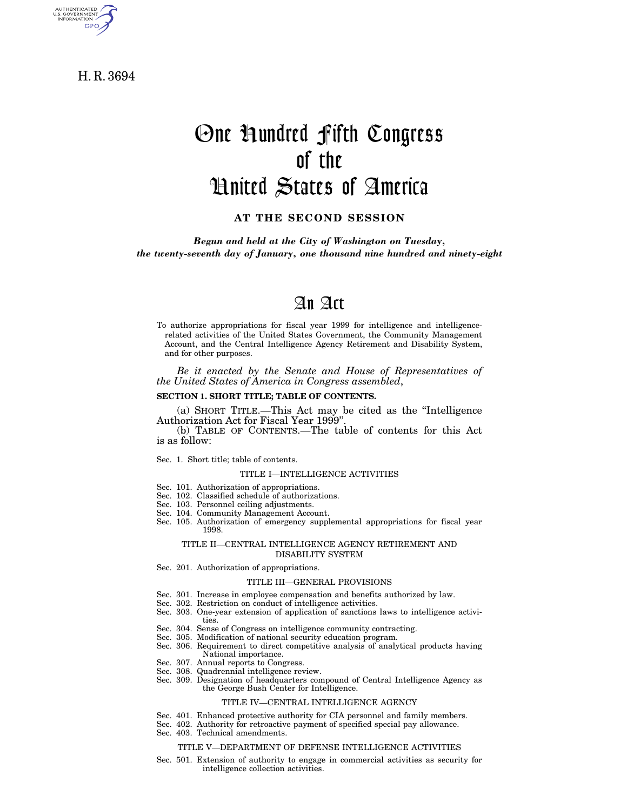H. R. 3694

AUTHENTICATED<br>U.S. GOVERNMENT<br>INFORMATION **GPO** 

# One Hundred Fifth Congress of the United States of America

**AT THE SECOND SESSION**

*Begun and held at the City of Washington on Tuesday, the twenty-seventh day of January, one thousand nine hundred and ninety-eight*

# An Act

To authorize appropriations for fiscal year 1999 for intelligence and intelligencerelated activities of the United States Government, the Community Management Account, and the Central Intelligence Agency Retirement and Disability System, and for other purposes.

*Be it enacted by the Senate and House of Representatives of the United States of America in Congress assembled*,

#### **SECTION 1. SHORT TITLE; TABLE OF CONTENTS.**

(a) SHORT TITLE.—This Act may be cited as the ''Intelligence Authorization Act for Fiscal Year 1999''.

(b) TABLE OF CONTENTS.—The table of contents for this Act is as follow:

Sec. 1. Short title; table of contents.

#### TITLE I—INTELLIGENCE ACTIVITIES

- Sec. 101. Authorization of appropriations.
- Sec. 102. Classified schedule of authorizations.
- Sec. 103. Personnel ceiling adjustments.
- Sec. 104. Community Management Account.
- Sec. 105. Authorization of emergency supplemental appropriations for fiscal year 1998.

#### TITLE II—CENTRAL INTELLIGENCE AGENCY RETIREMENT AND DISABILITY SYSTEM

Sec. 201. Authorization of appropriations.

#### TITLE III—GENERAL PROVISIONS

- Sec. 301. Increase in employee compensation and benefits authorized by law.
- Sec. 302. Restriction on conduct of intelligence activities.
- Sec. 303. One-year extension of application of sanctions laws to intelligence activities.
- Sec. 304. Sense of Congress on intelligence community contracting.
- Sec. 305. Modification of national security education program.
- Sec. 306. Requirement to direct competitive analysis of analytical products having National importance.
- Sec. 307. Annual reports to Congress.
- Sec. 308. Quadrennial intelligence review.
- Sec. 309. Designation of headquarters compound of Central Intelligence Agency as the George Bush Center for Intelligence.

### TITLE IV—CENTRAL INTELLIGENCE AGENCY

- Sec. 401. Enhanced protective authority for CIA personnel and family members.
- Sec. 402. Authority for retroactive payment of specified special pay allowance.
- Sec. 403. Technical amendments.

#### TITLE V—DEPARTMENT OF DEFENSE INTELLIGENCE ACTIVITIES

Sec. 501. Extension of authority to engage in commercial activities as security for intelligence collection activities.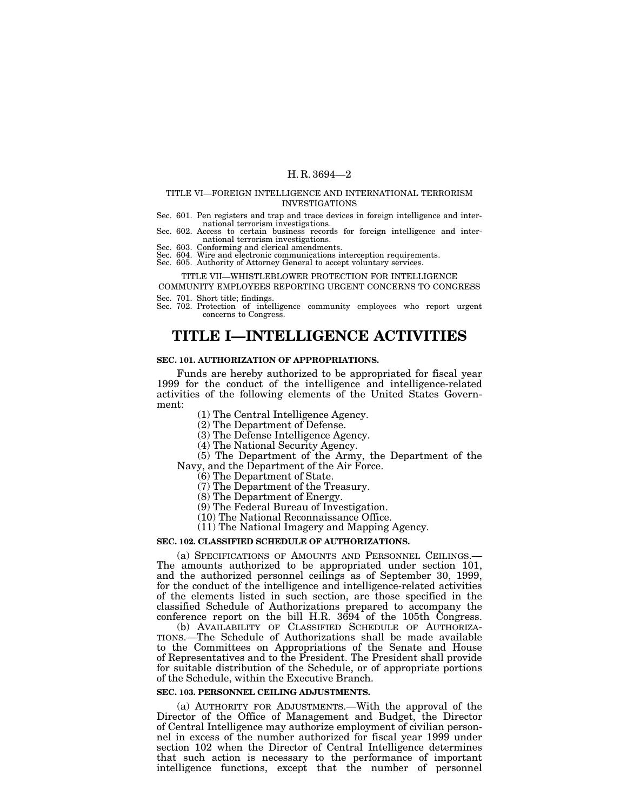### TITLE VI—FOREIGN INTELLIGENCE AND INTERNATIONAL TERRORISM INVESTIGATIONS

- Sec. 601. Pen registers and trap and trace devices in foreign intelligence and inter-
- Sec. 602. Access to certain business records for foreign intelligence and inter-<br>national terrorism investigations.
- national terrorism investigations. Sec. 603. Conforming and clerical amendments.

Sec. 604. Wire and electronic communications interception requirements. Sec. 605. Authority of Attorney General to accept voluntary services.

### TITLE VII—WHISTLEBLOWER PROTECTION FOR INTELLIGENCE

COMMUNITY EMPLOYEES REPORTING URGENT CONCERNS TO CONGRESS

Sec. 701. Short title; findings.

Sec. 702. Protection of intelligence community employees who report urgent concerns to Congress.

# **TITLE I—INTELLIGENCE ACTIVITIES**

### **SEC. 101. AUTHORIZATION OF APPROPRIATIONS.**

Funds are hereby authorized to be appropriated for fiscal year 1999 for the conduct of the intelligence and intelligence-related activities of the following elements of the United States Government:

(1) The Central Intelligence Agency.

(2) The Department of Defense.

(3) The Defense Intelligence Agency.

(4) The National Security Agency.

(5) The Department of the Army, the Department of the Navy, and the Department of the Air Force.

(6) The Department of State.

(7) The Department of the Treasury.

(8) The Department of Energy.

(9) The Federal Bureau of Investigation.

(10) The National Reconnaissance Office.

(11) The National Imagery and Mapping Agency.

### **SEC. 102. CLASSIFIED SCHEDULE OF AUTHORIZATIONS.**

(a) SPECIFICATIONS OF AMOUNTS AND PERSONNEL CEILINGS.— The amounts authorized to be appropriated under section 101, and the authorized personnel ceilings as of September 30, 1999, for the conduct of the intelligence and intelligence-related activities of the elements listed in such section, are those specified in the classified Schedule of Authorizations prepared to accompany the conference report on the bill H.R. 3694 of the 105th Congress.

(b) AVAILABILITY OF CLASSIFIED SCHEDULE OF AUTHORIZA- TIONS.—The Schedule of Authorizations shall be made available to the Committees on Appropriations of the Senate and House of Representatives and to the President. The President shall provide for suitable distribution of the Schedule, or of appropriate portions of the Schedule, within the Executive Branch.

### **SEC. 103. PERSONNEL CEILING ADJUSTMENTS.**

(a) AUTHORITY FOR ADJUSTMENTS.—With the approval of the Director of the Office of Management and Budget, the Director of Central Intelligence may authorize employment of civilian personnel in excess of the number authorized for fiscal year 1999 under section 102 when the Director of Central Intelligence determines that such action is necessary to the performance of important intelligence functions, except that the number of personnel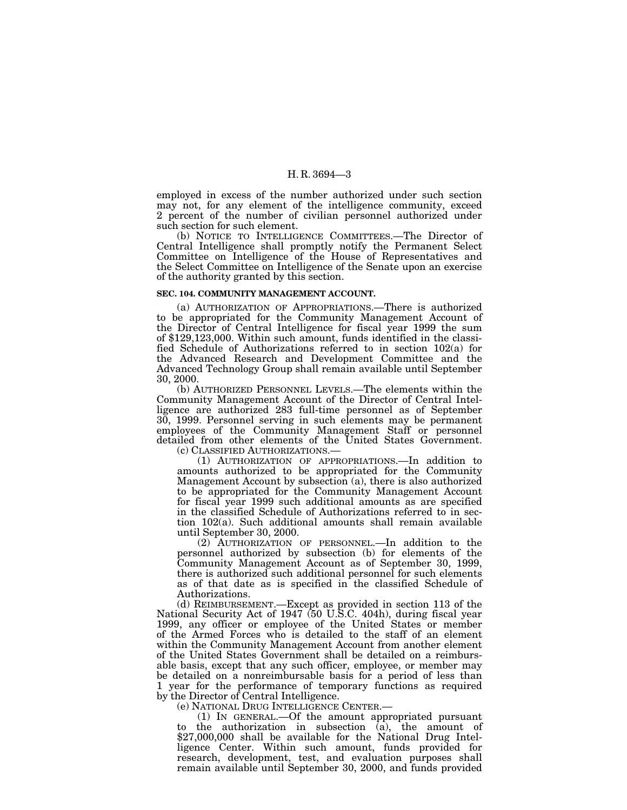employed in excess of the number authorized under such section may not, for any element of the intelligence community, exceed 2 percent of the number of civilian personnel authorized under such section for such element.

(b) NOTICE TO INTELLIGENCE COMMITTEES.—The Director of Central Intelligence shall promptly notify the Permanent Select Committee on Intelligence of the House of Representatives and the Select Committee on Intelligence of the Senate upon an exercise of the authority granted by this section.

#### **SEC. 104. COMMUNITY MANAGEMENT ACCOUNT.**

(a) AUTHORIZATION OF APPROPRIATIONS.—There is authorized to be appropriated for the Community Management Account of the Director of Central Intelligence for fiscal year 1999 the sum of \$129,123,000. Within such amount, funds identified in the classified Schedule of Authorizations referred to in section 102(a) for the Advanced Research and Development Committee and the Advanced Technology Group shall remain available until September 30, 2000.

(b) AUTHORIZED PERSONNEL LEVELS.—The elements within the Community Management Account of the Director of Central Intelligence are authorized 283 full-time personnel as of September 30, 1999. Personnel serving in such elements may be permanent employees of the Community Management Staff or personnel detailed from other elements of the United States Government. (c) CLASSIFIED AUTHORIZATIONS.—

(1) AUTHORIZATION OF APPROPRIATIONS.—In addition to amounts authorized to be appropriated for the Community Management Account by subsection (a), there is also authorized to be appropriated for the Community Management Account for fiscal year 1999 such additional amounts as are specified in the classified Schedule of Authorizations referred to in section 102(a). Such additional amounts shall remain available until September 30, 2000.

(2) AUTHORIZATION OF PERSONNEL.—In addition to the personnel authorized by subsection (b) for elements of the Community Management Account as of September 30, 1999, there is authorized such additional personnel for such elements as of that date as is specified in the classified Schedule of Authorizations.

(d) REIMBURSEMENT.—Except as provided in section 113 of the National Security Act of 1947 (50 U.S.C. 404h), during fiscal year 1999, any officer or employee of the United States or member of the Armed Forces who is detailed to the staff of an element within the Community Management Account from another element of the United States Government shall be detailed on a reimbursable basis, except that any such officer, employee, or member may be detailed on a nonreimbursable basis for a period of less than 1 year for the performance of temporary functions as required by the Director of Central Intelligence.

(e) NATIONAL DRUG INTELLIGENCE CENTER.—

(1) IN GENERAL.—Of the amount appropriated pursuant to the authorization in subsection  $(a)$ , the amount of \$27,000,000 shall be available for the National Drug Intelligence Center. Within such amount, funds provided for research, development, test, and evaluation purposes shall remain available until September 30, 2000, and funds provided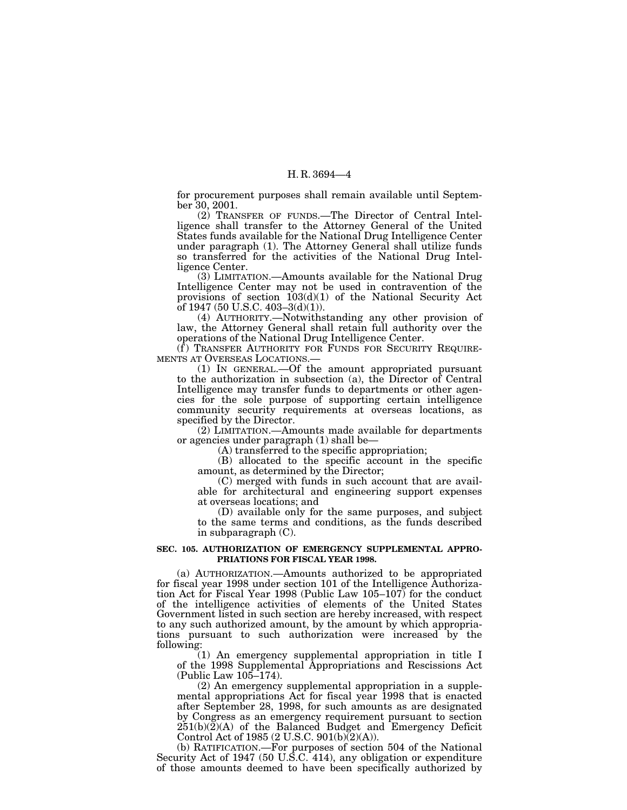for procurement purposes shall remain available until September 30, 2001.

(2) TRANSFER OF FUNDS.—The Director of Central Intelligence shall transfer to the Attorney General of the United States funds available for the National Drug Intelligence Center under paragraph (1). The Attorney General shall utilize funds so transferred for the activities of the National Drug Intelligence Center.

(3) LIMITATION.—Amounts available for the National Drug Intelligence Center may not be used in contravention of the provisions of section 103(d)(1) of the National Security Act of 1947 (50 U.S.C. 403–3(d)(1)).

(4) AUTHORITY.—Notwithstanding any other provision of law, the Attorney General shall retain full authority over the operations of the National Drug Intelligence Center.

(f) TRANSFER AUTHORITY FOR FUNDS FOR SECURITY REQUIRE-MENTS AT OVERSEAS LOCATIONS.—

(1) IN GENERAL.—Of the amount appropriated pursuant to the authorization in subsection (a), the Director of Central Intelligence may transfer funds to departments or other agencies for the sole purpose of supporting certain intelligence community security requirements at overseas locations, as specified by the Director.

(2) LIMITATION.—Amounts made available for departments or agencies under paragraph (1) shall be—

(A) transferred to the specific appropriation;

(B) allocated to the specific account in the specific amount, as determined by the Director;

(C) merged with funds in such account that are available for architectural and engineering support expenses at overseas locations; and

(D) available only for the same purposes, and subject to the same terms and conditions, as the funds described in subparagraph (C).

### **SEC. 105. AUTHORIZATION OF EMERGENCY SUPPLEMENTAL APPRO-PRIATIONS FOR FISCAL YEAR 1998.**

(a) AUTHORIZATION.—Amounts authorized to be appropriated for fiscal year 1998 under section 101 of the Intelligence Authorization Act for Fiscal Year 1998 (Public Law 105–107) for the conduct of the intelligence activities of elements of the United States Government listed in such section are hereby increased, with respect to any such authorized amount, by the amount by which appropriations pursuant to such authorization were increased by the following:

(1) An emergency supplemental appropriation in title I of the 1998 Supplemental Appropriations and Rescissions Act (Public Law 105–174).

(2) An emergency supplemental appropriation in a supplemental appropriations Act for fiscal year 1998 that is enacted after September 28, 1998, for such amounts as are designated by Congress as an emergency requirement pursuant to section 251(b)(2)(A) of the Balanced Budget and Emergency Deficit Control Act of 1985 (2 U.S.C. 901(b) $(2)(A)$ ).

(b) RATIFICATION.—For purposes of section 504 of the National Security Act of 1947 (50 U.S.C. 414), any obligation or expenditure of those amounts deemed to have been specifically authorized by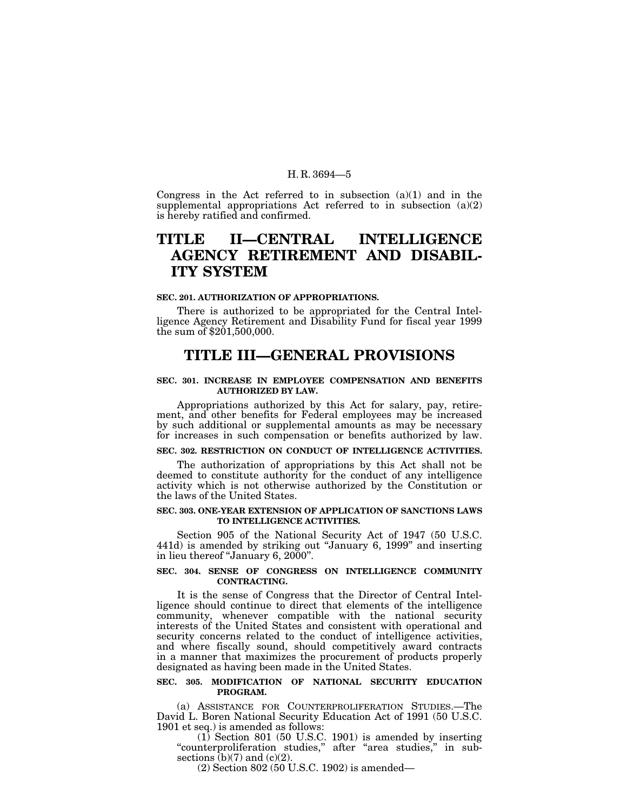Congress in the Act referred to in subsection  $(a)(1)$  and in the supplemental appropriations Act referred to in subsection (a)(2) is hereby ratified and confirmed.

# **TITLE II—CENTRAL INTELLIGENCE AGENCY RETIREMENT AND DISABIL-ITY SYSTEM**

### **SEC. 201. AUTHORIZATION OF APPROPRIATIONS.**

There is authorized to be appropriated for the Central Intelligence Agency Retirement and Disability Fund for fiscal year 1999 the sum of \$201,500,000.

# **TITLE III—GENERAL PROVISIONS**

### **SEC. 301. INCREASE IN EMPLOYEE COMPENSATION AND BENEFITS AUTHORIZED BY LAW.**

Appropriations authorized by this Act for salary, pay, retirement, and other benefits for Federal employees may be increased by such additional or supplemental amounts as may be necessary for increases in such compensation or benefits authorized by law.

# **SEC. 302. RESTRICTION ON CONDUCT OF INTELLIGENCE ACTIVITIES.**

The authorization of appropriations by this Act shall not be deemed to constitute authority for the conduct of any intelligence activity which is not otherwise authorized by the Constitution or the laws of the United States.

### **SEC. 303. ONE-YEAR EXTENSION OF APPLICATION OF SANCTIONS LAWS TO INTELLIGENCE ACTIVITIES.**

Section 905 of the National Security Act of 1947 (50 U.S.C. 441d) is amended by striking out ''January 6, 1999'' and inserting in lieu thereof "January 6, 2000".

### **SEC. 304. SENSE OF CONGRESS ON INTELLIGENCE COMMUNITY CONTRACTING.**

It is the sense of Congress that the Director of Central Intelligence should continue to direct that elements of the intelligence community, whenever compatible with the national security interests of the United States and consistent with operational and security concerns related to the conduct of intelligence activities, and where fiscally sound, should competitively award contracts in a manner that maximizes the procurement of products properly designated as having been made in the United States.

### **SEC. 305. MODIFICATION OF NATIONAL SECURITY EDUCATION PROGRAM.**

(a) ASSISTANCE FOR COUNTERPROLIFERATION STUDIES.—The David L. Boren National Security Education Act of 1991 (50 U.S.C. 1901 et seq.) is amended as follows:

(1) Section 801 (50 U.S.C. 1901) is amended by inserting "counterproliferation studies," after "area studies," in subsections  $(b)(7)$  and  $(c)(2)$ .

(2) Section 802 (50 U.S.C. 1902) is amended—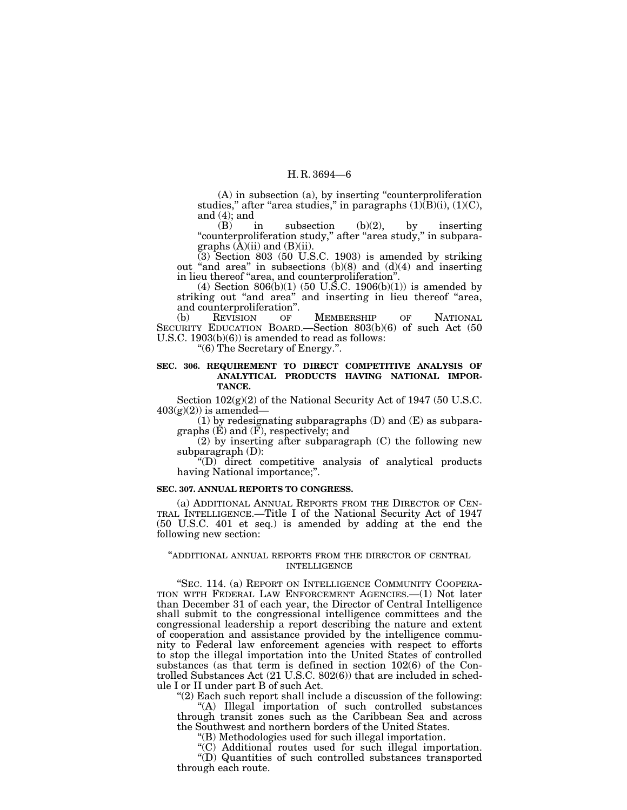(A) in subsection (a), by inserting ''counterproliferation studies," after "area studies," in paragraphs  $(1)(B)(i)$ ,  $(1)(C)$ , and  $(4)$ ; and

(B) in subsection (b)(2), by inserting ''counterproliferation study,'' after ''area study,'' in subparagraphs  $(\bar{A})(ii)$  and  $(B)(ii)$ .

(3) Section 803 (50 U.S.C. 1903) is amended by striking out "and area" in subsections  $(b)(8)$  and  $(d)(4)$  and inserting in lieu thereof ''area, and counterproliferation''.

 $(4)$  Section 806(b)(1) (50 U.S.C. 1906(b)(1)) is amended by striking out "and area" and inserting in lieu thereof "area, and counterproliferation''.

(b) REVISION OF MEMBERSHIP OF NATIONAL SECURITY EDUCATION BOARD.—Section 803(b)(6) of such Act (50 U.S.C. 1903(b)(6)) is amended to read as follows:

''(6) The Secretary of Energy.''.

### **SEC. 306. REQUIREMENT TO DIRECT COMPETITIVE ANALYSIS OF ANALYTICAL PRODUCTS HAVING NATIONAL IMPOR-TANCE.**

Section  $102(g)(2)$  of the National Security Act of 1947 (50 U.S.C.  $403(g)(2)$  is amended—

(1) by redesignating subparagraphs (D) and (E) as subparagraphs (E) and (F), respectively; and

(2) by inserting after subparagraph (C) the following new subparagraph (D):

''(D) direct competitive analysis of analytical products having National importance;".

### **SEC. 307. ANNUAL REPORTS TO CONGRESS.**

(a) ADDITIONAL ANNUAL REPORTS FROM THE DIRECTOR OF CEN- TRAL INTELLIGENCE.—Title I of the National Security Act of 1947 (50 U.S.C. 401 et seq.) is amended by adding at the end the following new section:

### ''ADDITIONAL ANNUAL REPORTS FROM THE DIRECTOR OF CENTRAL INTELLIGENCE

"SEC. 114. (a) REPORT ON INTELLIGENCE COMMUNITY COOPERA-TION WITH FEDERAL LAW ENFORCEMENT AGENCIES.—(1) Not later than December 31 of each year, the Director of Central Intelligence shall submit to the congressional intelligence committees and the congressional leadership a report describing the nature and extent of cooperation and assistance provided by the intelligence community to Federal law enforcement agencies with respect to efforts to stop the illegal importation into the United States of controlled substances (as that term is defined in section 102(6) of the Controlled Substances Act (21 U.S.C. 802(6)) that are included in schedule I or II under part B of such Act.

''(2) Each such report shall include a discussion of the following:

''(A) Illegal importation of such controlled substances through transit zones such as the Caribbean Sea and across the Southwest and northern borders of the United States.

''(B) Methodologies used for such illegal importation.

''(C) Additional routes used for such illegal importation. ''(D) Quantities of such controlled substances transported through each route.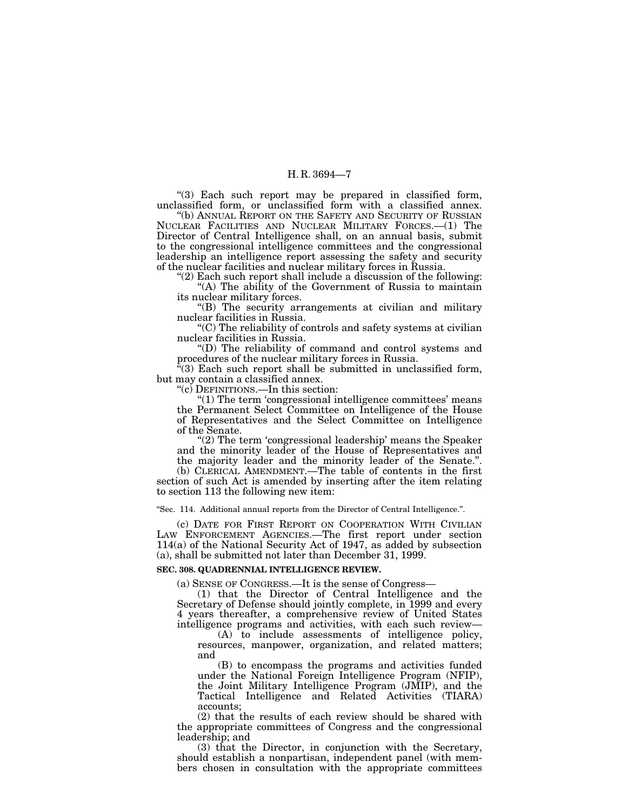"(3) Each such report may be prepared in classified form, unclassified form, or unclassified form with a classified annex.

''(b) ANNUAL REPORT ON THE SAFETY AND SECURITY OF RUSSIAN NUCLEAR FACILITIES AND NUCLEAR MILITARY FORCES.—(1) The Director of Central Intelligence shall, on an annual basis, submit to the congressional intelligence committees and the congressional leadership an intelligence report assessing the safety and security of the nuclear facilities and nuclear military forces in Russia.

" $(2)$  Each such report shall include a discussion of the following: "(A) The ability of the Government of Russia to maintain its nuclear military forces.

''(B) The security arrangements at civilian and military nuclear facilities in Russia.

''(C) The reliability of controls and safety systems at civilian nuclear facilities in Russia.

''(D) The reliability of command and control systems and procedures of the nuclear military forces in Russia.

''(3) Each such report shall be submitted in unclassified form, but may contain a classified annex.

''(c) DEFINITIONS.—In this section:

''(1) The term 'congressional intelligence committees' means the Permanent Select Committee on Intelligence of the House of Representatives and the Select Committee on Intelligence of the Senate.

"(2) The term 'congressional leadership' means the Speaker and the minority leader of the House of Representatives and the majority leader and the minority leader of the Senate.''.

(b) CLERICAL AMENDMENT.—The table of contents in the first section of such Act is amended by inserting after the item relating to section 113 the following new item:

''Sec. 114. Additional annual reports from the Director of Central Intelligence.''.

(c) DATE FOR FIRST REPORT ON COOPERATION WITH CIVILIAN LAW ENFORCEMENT AGENCIES.—The first report under section 114(a) of the National Security Act of 1947, as added by subsection (a), shall be submitted not later than December 31, 1999.

### **SEC. 308. QUADRENNIAL INTELLIGENCE REVIEW.**

(a) SENSE OF CONGRESS.—It is the sense of Congress—

(1) that the Director of Central Intelligence and the Secretary of Defense should jointly complete, in 1999 and every 4 years thereafter, a comprehensive review of United States intelligence programs and activities, with each such review—

(A) to include assessments of intelligence policy, resources, manpower, organization, and related matters; and

(B) to encompass the programs and activities funded under the National Foreign Intelligence Program (NFIP), the Joint Military Intelligence Program (JMIP), and the Tactical Intelligence and Related Activities (TIARA) accounts;

(2) that the results of each review should be shared with the appropriate committees of Congress and the congressional leadership; and

(3) that the Director, in conjunction with the Secretary, should establish a nonpartisan, independent panel (with members chosen in consultation with the appropriate committees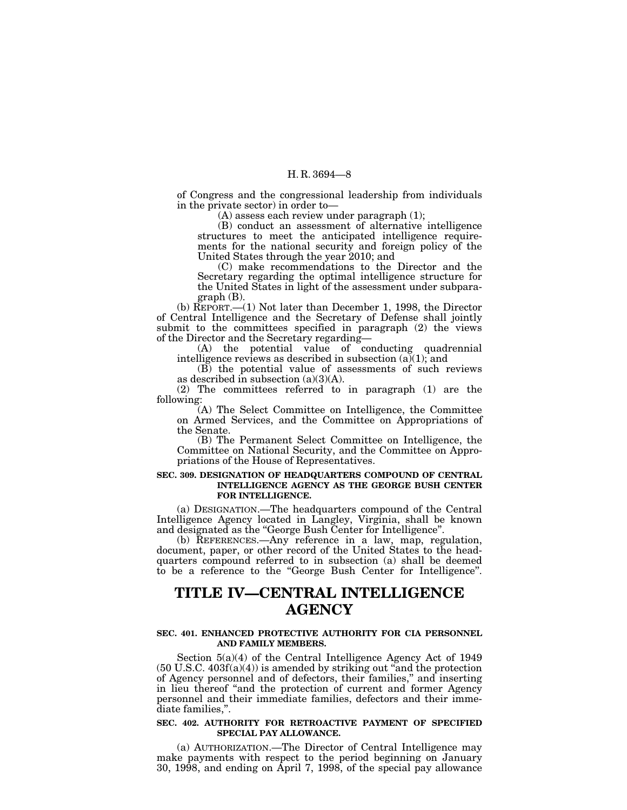of Congress and the congressional leadership from individuals in the private sector) in order to—

(A) assess each review under paragraph (1);

(B) conduct an assessment of alternative intelligence structures to meet the anticipated intelligence requirements for the national security and foreign policy of the United States through the year 2010; and

(C) make recommendations to the Director and the Secretary regarding the optimal intelligence structure for the United States in light of the assessment under subparagraph (B).

(b) REPORT.—(1) Not later than December 1, 1998, the Director of Central Intelligence and the Secretary of Defense shall jointly submit to the committees specified in paragraph (2) the views of the Director and the Secretary regarding—

(A) the potential value of conducting quadrennial intelligence reviews as described in subsection  $(a)(1)$ ; and

(B) the potential value of assessments of such reviews as described in subsection  $(a)(3)(A)$ .

(2) The committees referred to in paragraph (1) are the following:

(A) The Select Committee on Intelligence, the Committee on Armed Services, and the Committee on Appropriations of the Senate.

(B) The Permanent Select Committee on Intelligence, the Committee on National Security, and the Committee on Appropriations of the House of Representatives.

### **SEC. 309. DESIGNATION OF HEADQUARTERS COMPOUND OF CENTRAL INTELLIGENCE AGENCY AS THE GEORGE BUSH CENTER FOR INTELLIGENCE.**

(a) DESIGNATION.—The headquarters compound of the Central Intelligence Agency located in Langley, Virginia, shall be known and designated as the ''George Bush Center for Intelligence''.

(b) REFERENCES.—Any reference in a law, map, regulation, document, paper, or other record of the United States to the headquarters compound referred to in subsection (a) shall be deemed to be a reference to the ''George Bush Center for Intelligence''.

# **TITLE IV—CENTRAL INTELLIGENCE AGENCY**

### **SEC. 401. ENHANCED PROTECTIVE AUTHORITY FOR CIA PERSONNEL AND FAMILY MEMBERS.**

Section 5(a)(4) of the Central Intelligence Agency Act of 1949  $(50 \text{ U.S.C. } 403f(a)(4))$  is amended by striking out "and the protection" of Agency personnel and of defectors, their families,'' and inserting in lieu thereof ''and the protection of current and former Agency personnel and their immediate families, defectors and their immediate families,''.

### **SEC. 402. AUTHORITY FOR RETROACTIVE PAYMENT OF SPECIFIED SPECIAL PAY ALLOWANCE.**

(a) AUTHORIZATION.—The Director of Central Intelligence may make payments with respect to the period beginning on January 30, 1998, and ending on April 7, 1998, of the special pay allowance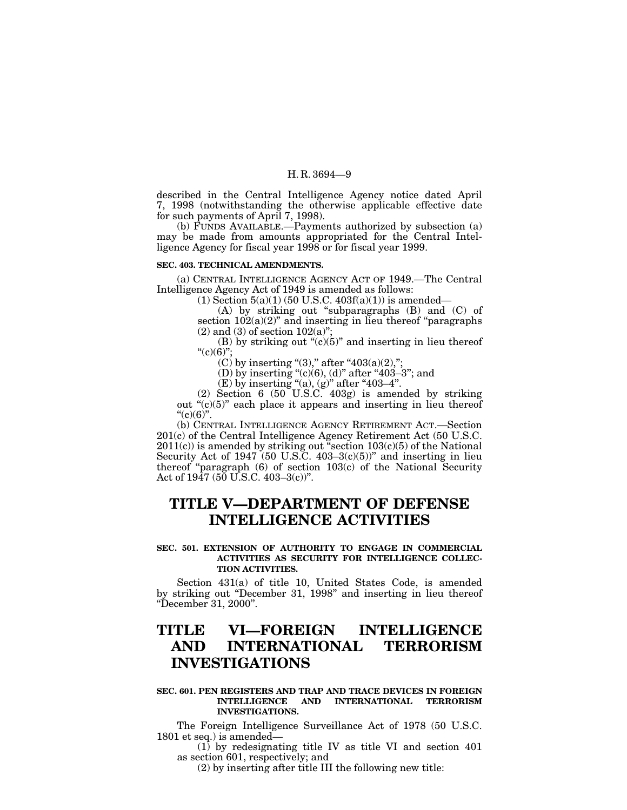described in the Central Intelligence Agency notice dated April 7, 1998 (notwithstanding the otherwise applicable effective date for such payments of April 7, 1998).

(b) FUNDS AVAILABLE.—Payments authorized by subsection (a) may be made from amounts appropriated for the Central Intelligence Agency for fiscal year 1998 or for fiscal year 1999.

### **SEC. 403. TECHNICAL AMENDMENTS.**

(a) CENTRAL INTELLIGENCE AGENCY ACT OF 1949.—The Central Intelligence Agency Act of 1949 is amended as follows:

 $(1)$  Section  $5(a)(1)$  (50 U.S.C. 403 $f(a)(1)$ ) is amended—

(A) by striking out ''subparagraphs (B) and (C) of section  $102(a)(2)$ " and inserting in lieu thereof "paragraphs"  $(2)$  and  $(3)$  of section 102 $(a)$ ";

(B) by striking out " $(c)(5)$ " and inserting in lieu thereof  $C'(c)(6)$ 

(C) by inserting "(3)," after " $403(a)(2)$ ,";

(D) by inserting "(c)(6), (d)" after "403–3"; and

(E) by inserting "(a), (g)" after "403–4".

(2) Section 6 (50 U.S.C. 403g) is amended by striking out " $(c)(5)$ " each place it appears and inserting in lieu thereof " $(c)(6)$ ".

(b) CENTRAL INTELLIGENCE AGENCY RETIREMENT ACT.—Section 201(c) of the Central Intelligence Agency Retirement Act (50 U.S.C.  $2011(c)$ ) is amended by striking out "section  $103(c)(5)$  of the National Security Act of  $1947$  (50 U.S.C. 403-3(c)(5))" and inserting in lieu thereof "paragraph  $(6)$  of section  $103(c)$  of the National Security Act of  $1947$  ( $50 \text{ U.S.C. } 403 - 3(c)$ )".

# **TITLE V—DEPARTMENT OF DEFENSE INTELLIGENCE ACTIVITIES**

### **SEC. 501. EXTENSION OF AUTHORITY TO ENGAGE IN COMMERCIAL ACTIVITIES AS SECURITY FOR INTELLIGENCE COLLEC-TION ACTIVITIES.**

Section 431(a) of title 10, United States Code, is amended by striking out ''December 31, 1998'' and inserting in lieu thereof ''December 31, 2000''.

# **TITLE VI—FOREIGN INTELLIGENCE AND INTERNATIONAL TERRORISM INVESTIGATIONS**

### **SEC. 601. PEN REGISTERS AND TRAP AND TRACE DEVICES IN FOREIGN INTELLIGENCE AND INTERNATIONAL TERRORISM INVESTIGATIONS.**

The Foreign Intelligence Surveillance Act of 1978 (50 U.S.C. 1801 et seq.) is amended—

(1) by redesignating title IV as title VI and section 401 as section 601, respectively; and

(2) by inserting after title III the following new title: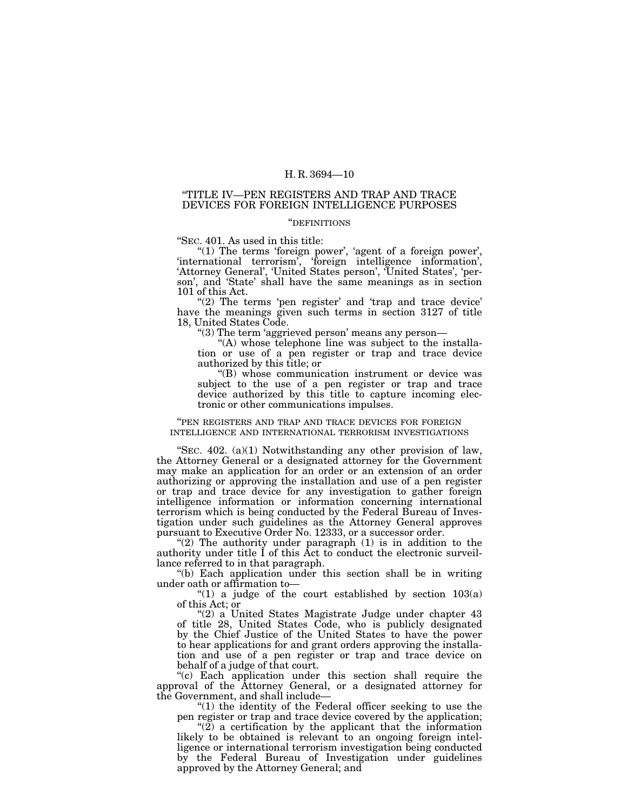# ''TITLE IV—PEN REGISTERS AND TRAP AND TRACE DEVICES FOR FOREIGN INTELLIGENCE PURPOSES

### ''DEFINITIONS

''SEC. 401. As used in this title:

" $(1)$  The terms 'foreign power', 'agent of a foreign power', 'international terrorism', 'foreign intelligence information', 'Attorney General', 'United States person', 'United States', 'person', and 'State' shall have the same meanings as in section 101 of this Act.

"(2) The terms 'pen register' and 'trap and trace device' have the meanings given such terms in section 3127 of title 18, United States Code.

''(3) The term 'aggrieved person' means any person—

"(A) whose telephone line was subject to the installation or use of a pen register or trap and trace device authorized by this title; or

''(B) whose communication instrument or device was subject to the use of a pen register or trap and trace device authorized by this title to capture incoming electronic or other communications impulses.

### ''PEN REGISTERS AND TRAP AND TRACE DEVICES FOR FOREIGN INTELLIGENCE AND INTERNATIONAL TERRORISM INVESTIGATIONS

"SEC.  $402.$  (a)(1) Notwithstanding any other provision of law, the Attorney General or a designated attorney for the Government may make an application for an order or an extension of an order authorizing or approving the installation and use of a pen register or trap and trace device for any investigation to gather foreign intelligence information or information concerning international terrorism which is being conducted by the Federal Bureau of Investigation under such guidelines as the Attorney General approves pursuant to Executive Order No. 12333, or a successor order.

" $(2)$  The authority under paragraph  $(1)$  is in addition to the authority under title I of this Act to conduct the electronic surveillance referred to in that paragraph.

''(b) Each application under this section shall be in writing under oath or affirmation to—

"(1) a judge of the court established by section  $103(a)$ of this Act; or

"(2) a United States Magistrate Judge under chapter 43 of title 28, United States Code, who is publicly designated by the Chief Justice of the United States to have the power to hear applications for and grant orders approving the installation and use of a pen register or trap and trace device on behalf of a judge of that court.

''(c) Each application under this section shall require the approval of the Attorney General, or a designated attorney for the Government, and shall include—

''(1) the identity of the Federal officer seeking to use the pen register or trap and trace device covered by the application;

" $(2)$  a certification by the applicant that the information likely to be obtained is relevant to an ongoing foreign intelligence or international terrorism investigation being conducted by the Federal Bureau of Investigation under guidelines approved by the Attorney General; and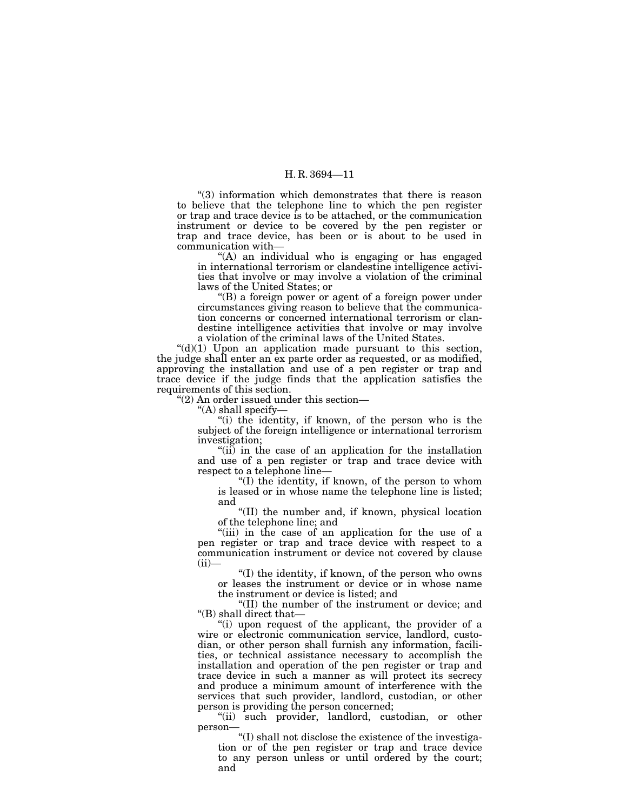''(3) information which demonstrates that there is reason to believe that the telephone line to which the pen register or trap and trace device is to be attached, or the communication instrument or device to be covered by the pen register or trap and trace device, has been or is about to be used in communication with—

"(A) an individual who is engaging or has engaged in international terrorism or clandestine intelligence activities that involve or may involve a violation of the criminal laws of the United States; or

''(B) a foreign power or agent of a foreign power under circumstances giving reason to believe that the communication concerns or concerned international terrorism or clandestine intelligence activities that involve or may involve a violation of the criminal laws of the United States.

 $((d)(1)$  Upon an application made pursuant to this section, the judge shall enter an ex parte order as requested, or as modified, approving the installation and use of a pen register or trap and trace device if the judge finds that the application satisfies the requirements of this section.

''(2) An order issued under this section—

''(A) shall specify—

''(i) the identity, if known, of the person who is the subject of the foreign intelligence or international terrorism investigation;

"(ii) in the case of an application for the installation and use of a pen register or trap and trace device with respect to a telephone line—

''(I) the identity, if known, of the person to whom is leased or in whose name the telephone line is listed; and

''(II) the number and, if known, physical location of the telephone line; and

"(iii) in the case of an application for the use of a pen register or trap and trace device with respect to a communication instrument or device not covered by clause  $(ii)$ —

''(I) the identity, if known, of the person who owns or leases the instrument or device or in whose name the instrument or device is listed; and

''(II) the number of the instrument or device; and ''(B) shall direct that—

"(i) upon request of the applicant, the provider of a wire or electronic communication service, landlord, custodian, or other person shall furnish any information, facilities, or technical assistance necessary to accomplish the installation and operation of the pen register or trap and trace device in such a manner as will protect its secrecy and produce a minimum amount of interference with the services that such provider, landlord, custodian, or other person is providing the person concerned;

"(ii) such provider, landlord, custodian, or other person—

''(I) shall not disclose the existence of the investigation or of the pen register or trap and trace device to any person unless or until ordered by the court; and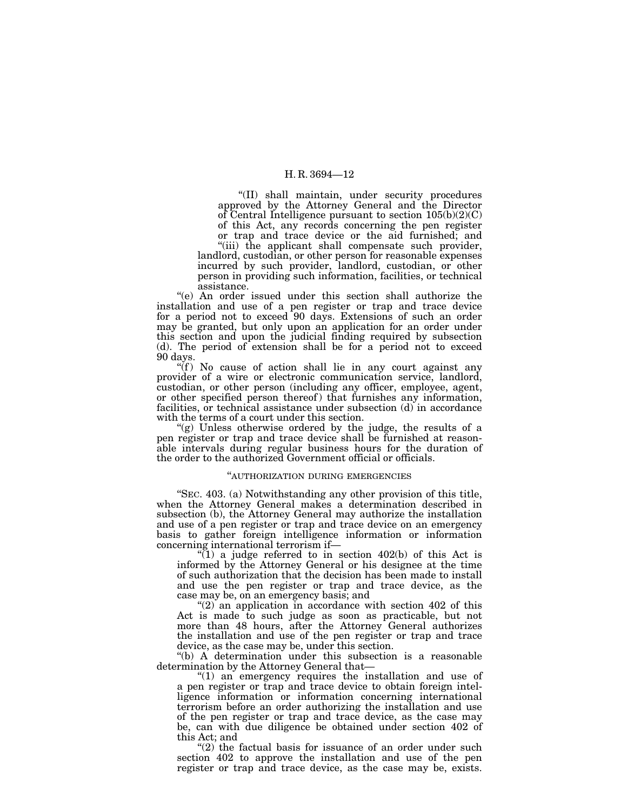''(II) shall maintain, under security procedures approved by the Attorney General and the Director of Central Intelligence pursuant to section 105(b)(2)(C) of this Act, any records concerning the pen register or trap and trace device or the aid furnished; and

"(iii) the applicant shall compensate such provider, landlord, custodian, or other person for reasonable expenses incurred by such provider, landlord, custodian, or other person in providing such information, facilities, or technical assistance.

''(e) An order issued under this section shall authorize the installation and use of a pen register or trap and trace device for a period not to exceed 90 days. Extensions of such an order may be granted, but only upon an application for an order under this section and upon the judicial finding required by subsection (d). The period of extension shall be for a period not to exceed 90 days.

 $\mathcal{L}(f)$  No cause of action shall lie in any court against any provider of a wire or electronic communication service, landlord, custodian, or other person (including any officer, employee, agent, or other specified person thereof ) that furnishes any information, facilities, or technical assistance under subsection (d) in accordance with the terms of a court under this section.

''(g) Unless otherwise ordered by the judge, the results of a pen register or trap and trace device shall be furnished at reasonable intervals during regular business hours for the duration of the order to the authorized Government official or officials.

# ''AUTHORIZATION DURING EMERGENCIES

''SEC. 403. (a) Notwithstanding any other provision of this title, when the Attorney General makes a determination described in subsection (b), the Attorney General may authorize the installation and use of a pen register or trap and trace device on an emergency basis to gather foreign intelligence information or information concerning international terrorism if—

 $\sqrt{\text{1}}$  a judge referred to in section 402(b) of this Act is informed by the Attorney General or his designee at the time of such authorization that the decision has been made to install and use the pen register or trap and trace device, as the case may be, on an emergency basis; and

" $(2)$  an application in accordance with section 402 of this Act is made to such judge as soon as practicable, but not more than 48 hours, after the Attorney General authorizes the installation and use of the pen register or trap and trace device, as the case may be, under this section.

''(b) A determination under this subsection is a reasonable determination by the Attorney General that—

" $(1)$  an emergency requires the installation and use of a pen register or trap and trace device to obtain foreign intelligence information or information concerning international terrorism before an order authorizing the installation and use of the pen register or trap and trace device, as the case may be, can with due diligence be obtained under section 402 of this Act; and

" $(2)$  the factual basis for issuance of an order under such section 402 to approve the installation and use of the pen register or trap and trace device, as the case may be, exists.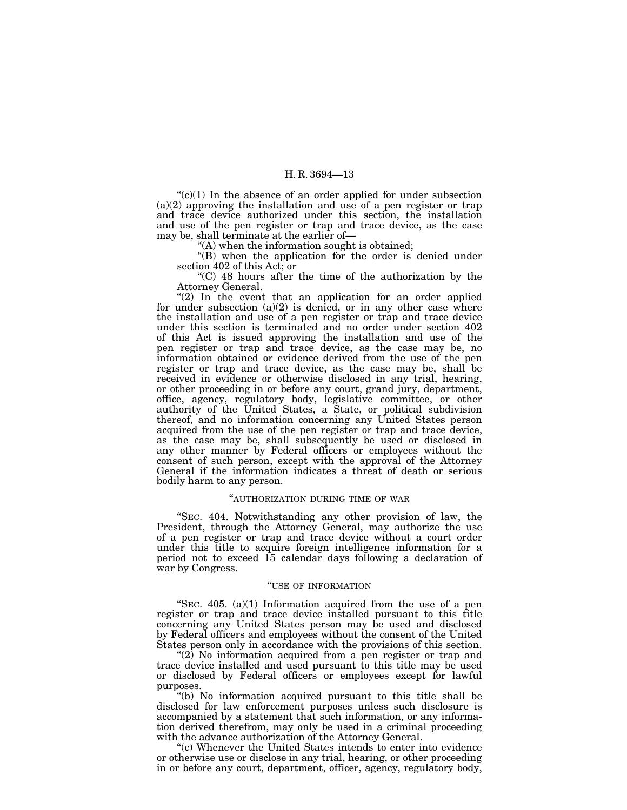$C<sup>(c)</sup>(1)$  In the absence of an order applied for under subsection  $(a)(2)$  approving the installation and use of a pen register or trap and trace device authorized under this section, the installation and use of the pen register or trap and trace device, as the case may be, shall terminate at the earlier of—

''(A) when the information sought is obtained;

"(B) when the application for the order is denied under section 402 of this Act; or

''(C) 48 hours after the time of the authorization by the Attorney General.

" $(2)$  In the event that an application for an order applied for under subsection  $(a)(2)$  is denied, or in any other case where the installation and use of a pen register or trap and trace device under this section is terminated and no order under section 402 of this Act is issued approving the installation and use of the pen register or trap and trace device, as the case may be, no information obtained or evidence derived from the use of the pen register or trap and trace device, as the case may be, shall be received in evidence or otherwise disclosed in any trial, hearing, or other proceeding in or before any court, grand jury, department, office, agency, regulatory body, legislative committee, or other authority of the United States, a State, or political subdivision thereof, and no information concerning any United States person acquired from the use of the pen register or trap and trace device, as the case may be, shall subsequently be used or disclosed in any other manner by Federal officers or employees without the consent of such person, except with the approval of the Attorney General if the information indicates a threat of death or serious bodily harm to any person.

#### ''AUTHORIZATION DURING TIME OF WAR

''SEC. 404. Notwithstanding any other provision of law, the President, through the Attorney General, may authorize the use of a pen register or trap and trace device without a court order under this title to acquire foreign intelligence information for a period not to exceed 15 calendar days following a declaration of war by Congress.

### ''USE OF INFORMATION

"SEC.  $405.$  (a)(1) Information acquired from the use of a pen register or trap and trace device installed pursuant to this title concerning any United States person may be used and disclosed by Federal officers and employees without the consent of the United States person only in accordance with the provisions of this section.

"(2) No information acquired from a pen register or trap and trace device installed and used pursuant to this title may be used or disclosed by Federal officers or employees except for lawful purposes.

''(b) No information acquired pursuant to this title shall be disclosed for law enforcement purposes unless such disclosure is accompanied by a statement that such information, or any information derived therefrom, may only be used in a criminal proceeding with the advance authorization of the Attorney General.

"(c) Whenever the United States intends to enter into evidence" or otherwise use or disclose in any trial, hearing, or other proceeding in or before any court, department, officer, agency, regulatory body,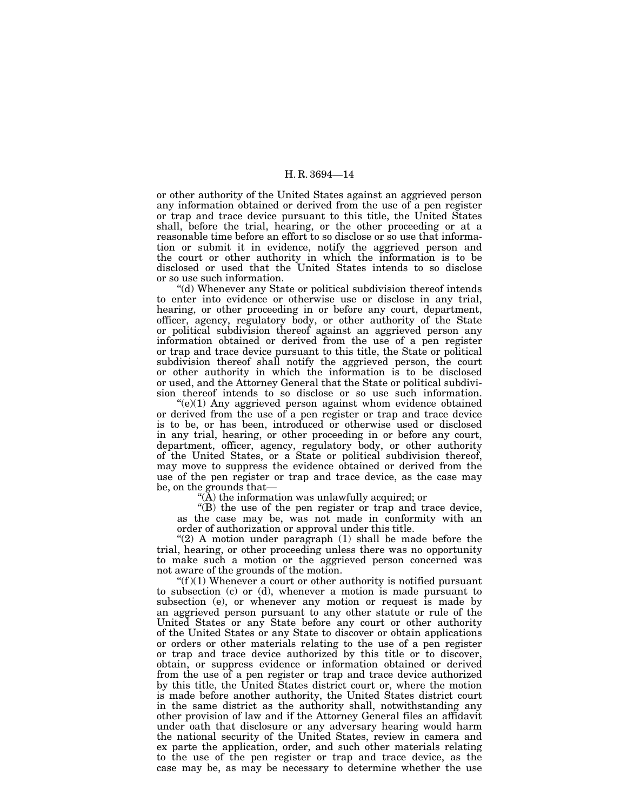or other authority of the United States against an aggrieved person any information obtained or derived from the use of a pen register or trap and trace device pursuant to this title, the United States shall, before the trial, hearing, or the other proceeding or at a reasonable time before an effort to so disclose or so use that information or submit it in evidence, notify the aggrieved person and the court or other authority in which the information is to be disclosed or used that the United States intends to so disclose or so use such information.

''(d) Whenever any State or political subdivision thereof intends to enter into evidence or otherwise use or disclose in any trial, hearing, or other proceeding in or before any court, department, officer, agency, regulatory body, or other authority of the State or political subdivision thereof against an aggrieved person any information obtained or derived from the use of a pen register or trap and trace device pursuant to this title, the State or political subdivision thereof shall notify the aggrieved person, the court or other authority in which the information is to be disclosed or used, and the Attorney General that the State or political subdivision thereof intends to so disclose or so use such information.

 $(e)(1)$  Any aggrieved person against whom evidence obtained or derived from the use of a pen register or trap and trace device is to be, or has been, introduced or otherwise used or disclosed in any trial, hearing, or other proceeding in or before any court, department, officer, agency, regulatory body, or other authority of the United States, or a State or political subdivision thereof, may move to suppress the evidence obtained or derived from the use of the pen register or trap and trace device, as the case may be, on the grounds that—

" $(\overline{A})$  the information was unlawfully acquired; or

''(B) the use of the pen register or trap and trace device, as the case may be, was not made in conformity with an order of authorization or approval under this title.

" $(2)$  A motion under paragraph  $(1)$  shall be made before the trial, hearing, or other proceeding unless there was no opportunity to make such a motion or the aggrieved person concerned was not aware of the grounds of the motion.

" $(f)(1)$  Whenever a court or other authority is notified pursuant to subsection (c) or (d), whenever a motion is made pursuant to subsection (e), or whenever any motion or request is made by an aggrieved person pursuant to any other statute or rule of the United States or any State before any court or other authority of the United States or any State to discover or obtain applications or orders or other materials relating to the use of a pen register or trap and trace device authorized by this title or to discover, obtain, or suppress evidence or information obtained or derived from the use of a pen register or trap and trace device authorized by this title, the United States district court or, where the motion is made before another authority, the United States district court in the same district as the authority shall, notwithstanding any other provision of law and if the Attorney General files an affidavit under oath that disclosure or any adversary hearing would harm the national security of the United States, review in camera and ex parte the application, order, and such other materials relating to the use of the pen register or trap and trace device, as the case may be, as may be necessary to determine whether the use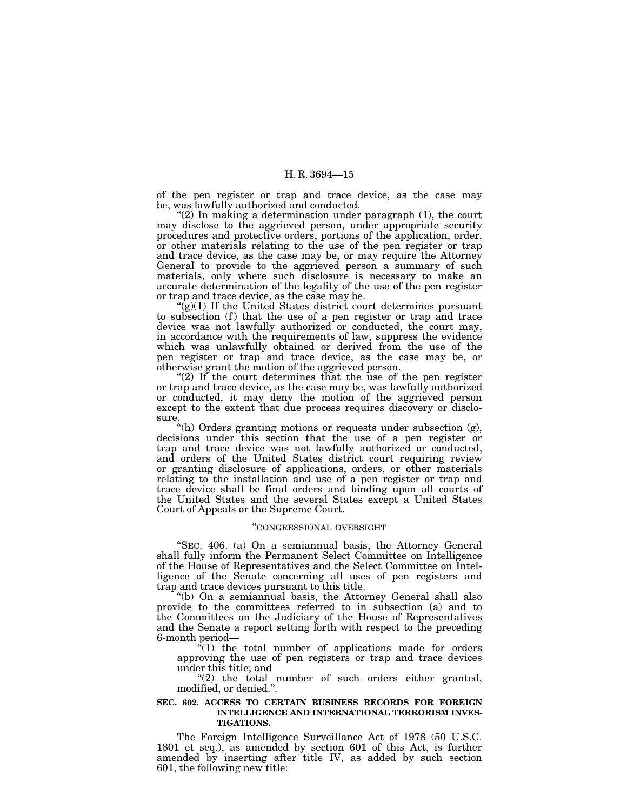of the pen register or trap and trace device, as the case may be, was lawfully authorized and conducted.

" $(2)$  In making a determination under paragraph  $(1)$ , the court may disclose to the aggrieved person, under appropriate security procedures and protective orders, portions of the application, order, or other materials relating to the use of the pen register or trap and trace device, as the case may be, or may require the Attorney General to provide to the aggrieved person a summary of such materials, only where such disclosure is necessary to make an accurate determination of the legality of the use of the pen register or trap and trace device, as the case may be.

 $\mathfrak{g}(1)$  If the United States district court determines pursuant to subsection (f) that the use of a pen register or trap and trace device was not lawfully authorized or conducted, the court may, in accordance with the requirements of law, suppress the evidence which was unlawfully obtained or derived from the use of the pen register or trap and trace device, as the case may be, or otherwise grant the motion of the aggrieved person.

"(2) If the court determines that the use of the pen register or trap and trace device, as the case may be, was lawfully authorized or conducted, it may deny the motion of the aggrieved person except to the extent that due process requires discovery or disclosure.

''(h) Orders granting motions or requests under subsection (g), decisions under this section that the use of a pen register or trap and trace device was not lawfully authorized or conducted, and orders of the United States district court requiring review or granting disclosure of applications, orders, or other materials relating to the installation and use of a pen register or trap and trace device shall be final orders and binding upon all courts of the United States and the several States except a United States Court of Appeals or the Supreme Court.

### ''CONGRESSIONAL OVERSIGHT

''SEC. 406. (a) On a semiannual basis, the Attorney General shall fully inform the Permanent Select Committee on Intelligence of the House of Representatives and the Select Committee on Intelligence of the Senate concerning all uses of pen registers and trap and trace devices pursuant to this title.

''(b) On a semiannual basis, the Attorney General shall also provide to the committees referred to in subsection (a) and to the Committees on the Judiciary of the House of Representatives and the Senate a report setting forth with respect to the preceding 6-month period—

 $f(1)$  the total number of applications made for orders approving the use of pen registers or trap and trace devices under this title; and

" $(2)$  the total number of such orders either granted, modified, or denied.''.

### **SEC. 602. ACCESS TO CERTAIN BUSINESS RECORDS FOR FOREIGN INTELLIGENCE AND INTERNATIONAL TERRORISM INVES-TIGATIONS.**

The Foreign Intelligence Surveillance Act of 1978 (50 U.S.C. 1801 et seq.), as amended by section 601 of this Act, is further amended by inserting after title IV, as added by such section 601, the following new title: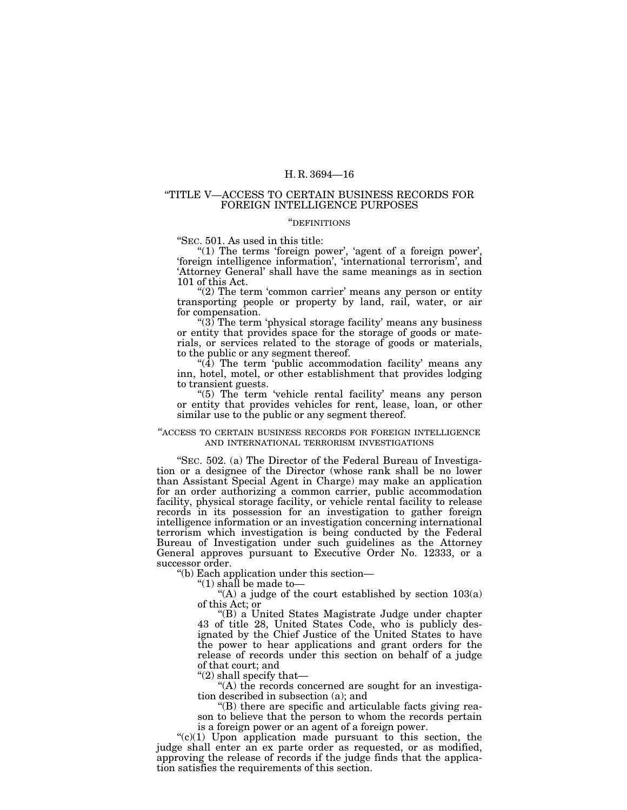### ''TITLE V—ACCESS TO CERTAIN BUSINESS RECORDS FOR FOREIGN INTELLIGENCE PURPOSES

### ''DEFINITIONS

''SEC. 501. As used in this title:

" $(1)$  The terms 'foreign power', 'agent of a foreign power', 'foreign intelligence information', 'international terrorism', and 'Attorney General' shall have the same meanings as in section 101 of this Act.

''(2) The term 'common carrier' means any person or entity transporting people or property by land, rail, water, or air for compensation.

"(3) The term 'physical storage facility' means any business or entity that provides space for the storage of goods or materials, or services related to the storage of goods or materials, to the public or any segment thereof.

" $(4)$  The term 'public accommodation facility' means any inn, hotel, motel, or other establishment that provides lodging to transient guests.

 $(5)$  The term 'vehicle rental facility' means any person or entity that provides vehicles for rent, lease, loan, or other similar use to the public or any segment thereof.

### ''ACCESS TO CERTAIN BUSINESS RECORDS FOR FOREIGN INTELLIGENCE AND INTERNATIONAL TERRORISM INVESTIGATIONS

''SEC. 502. (a) The Director of the Federal Bureau of Investigation or a designee of the Director (whose rank shall be no lower than Assistant Special Agent in Charge) may make an application for an order authorizing a common carrier, public accommodation facility, physical storage facility, or vehicle rental facility to release records in its possession for an investigation to gather foreign intelligence information or an investigation concerning international terrorism which investigation is being conducted by the Federal Bureau of Investigation under such guidelines as the Attorney General approves pursuant to Executive Order No. 12333, or a successor order.

''(b) Each application under this section—

''(1) shall be made to—

"(A) a judge of the court established by section  $103(a)$ of this Act; or

''(B) a United States Magistrate Judge under chapter 43 of title 28, United States Code, who is publicly designated by the Chief Justice of the United States to have the power to hear applications and grant orders for the release of records under this section on behalf of a judge of that court; and

''(2) shall specify that—

"(A) the records concerned are sought for an investigation described in subsection (a); and

''(B) there are specific and articulable facts giving reason to believe that the person to whom the records pertain is a foreign power or an agent of a foreign power.

" $(c)(1)$  Upon application made pursuant to this section, the judge shall enter an ex parte order as requested, or as modified, approving the release of records if the judge finds that the application satisfies the requirements of this section.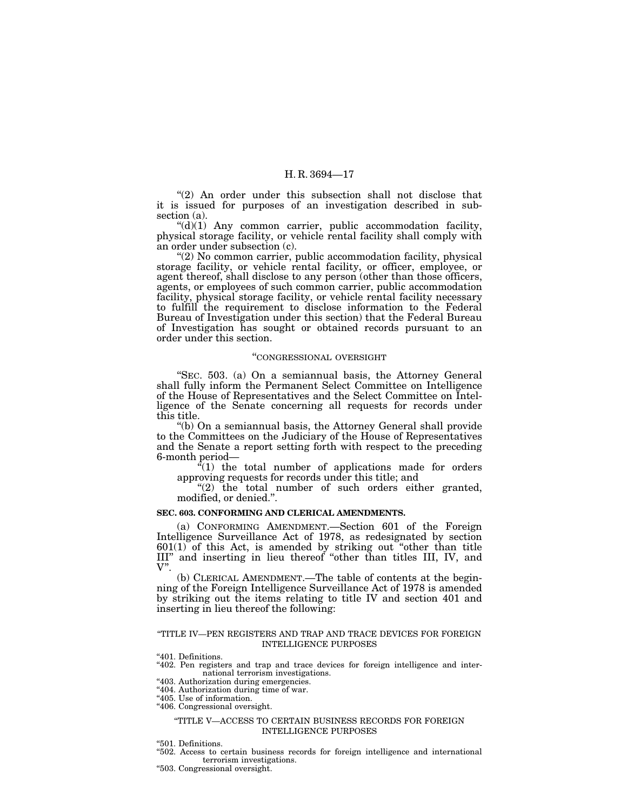"(2) An order under this subsection shall not disclose that it is issued for purposes of an investigation described in subsection (a).

 $((d)(1)$  Any common carrier, public accommodation facility, physical storage facility, or vehicle rental facility shall comply with an order under subsection (c).

"(2) No common carrier, public accommodation facility, physical storage facility, or vehicle rental facility, or officer, employee, or agent thereof, shall disclose to any person (other than those officers, agents, or employees of such common carrier, public accommodation facility, physical storage facility, or vehicle rental facility necessary to fulfill the requirement to disclose information to the Federal Bureau of Investigation under this section) that the Federal Bureau of Investigation has sought or obtained records pursuant to an order under this section.

### ''CONGRESSIONAL OVERSIGHT

''SEC. 503. (a) On a semiannual basis, the Attorney General shall fully inform the Permanent Select Committee on Intelligence of the House of Representatives and the Select Committee on Intelligence of the Senate concerning all requests for records under this title.

''(b) On a semiannual basis, the Attorney General shall provide to the Committees on the Judiciary of the House of Representatives and the Senate a report setting forth with respect to the preceding 6-month period—

 $f'(1)$  the total number of applications made for orders approving requests for records under this title; and

" $(2)$  the total number of such orders either granted, modified, or denied.''.

### **SEC. 603. CONFORMING AND CLERICAL AMENDMENTS.**

(a) CONFORMING AMENDMENT.—Section 601 of the Foreign Intelligence Surveillance Act of 1978, as redesignated by section 601(1) of this Act, is amended by striking out ''other than title III'' and inserting in lieu thereof ''other than titles III, IV, and V''.

(b) CLERICAL AMENDMENT.—The table of contents at the beginning of the Foreign Intelligence Surveillance Act of 1978 is amended by striking out the items relating to title IV and section 401 and inserting in lieu thereof the following:

#### ''TITLE IV—PEN REGISTERS AND TRAP AND TRACE DEVICES FOR FOREIGN INTELLIGENCE PURPOSES

"401. Definitions.

''402. Pen registers and trap and trace devices for foreign intelligence and international terrorism investigations.

''403. Authorization during emergencies.

- "404. Authorization during time of war.
- "405. Use of information.
- "406. Congressional oversight.

### ''TITLE V—ACCESS TO CERTAIN BUSINESS RECORDS FOR FOREIGN INTELLIGENCE PURPOSES

''501. Definitions.

''502. Access to certain business records for foreign intelligence and international terrorism investigations.

''503. Congressional oversight.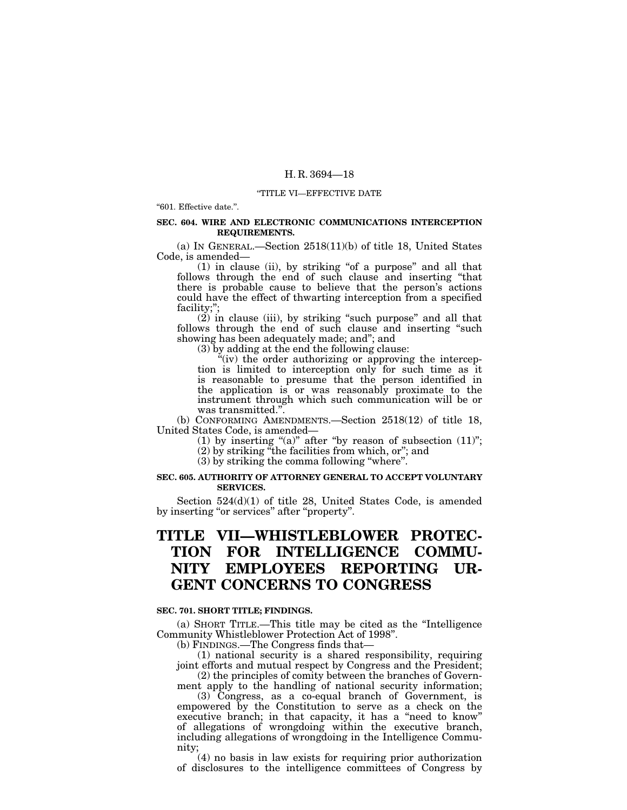### ''TITLE VI—EFFECTIVE DATE

''601. Effective date.''.

### **SEC. 604. WIRE AND ELECTRONIC COMMUNICATIONS INTERCEPTION REQUIREMENTS.**

(a) IN GENERAL.—Section 2518(11)(b) of title 18, United States Code, is amended—

(1) in clause (ii), by striking ''of a purpose'' and all that follows through the end of such clause and inserting ''that there is probable cause to believe that the person's actions could have the effect of thwarting interception from a specified facility;'';

(2) in clause (iii), by striking ''such purpose'' and all that follows through the end of such clause and inserting "such showing has been adequately made; and''; and

(3) by adding at the end the following clause:

"(iv) the order authorizing or approving the interception is limited to interception only for such time as it is reasonable to presume that the person identified in the application is or was reasonably proximate to the instrument through which such communication will be or was transmitted.''.

(b) CONFORMING AMENDMENTS.—Section 2518(12) of title 18, United States Code, is amended—

(1) by inserting " $(a)$ " after "by reason of subsection  $(11)$ ";

(2) by striking ''the facilities from which, or''; and

(3) by striking the comma following ''where''.

# **SEC. 605. AUTHORITY OF ATTORNEY GENERAL TO ACCEPT VOLUNTARY SERVICES.**

Section 524(d)(1) of title 28, United States Code, is amended by inserting "or services" after "property".

# **TITLE VII—WHISTLEBLOWER PROTEC-TION FOR INTELLIGENCE COMMU-NITY EMPLOYEES REPORTING UR-GENT CONCERNS TO CONGRESS**

### **SEC. 701. SHORT TITLE; FINDINGS.**

(a) SHORT TITLE.—This title may be cited as the ''Intelligence Community Whistleblower Protection Act of 1998''.

(b) FINDINGS.—The Congress finds that—

(1) national security is a shared responsibility, requiring joint efforts and mutual respect by Congress and the President; (2) the principles of comity between the branches of Govern-

ment apply to the handling of national security information;

(3) Congress, as a co-equal branch of Government, is empowered by the Constitution to serve as a check on the executive branch; in that capacity, it has a "need to know" of allegations of wrongdoing within the executive branch, including allegations of wrongdoing in the Intelligence Community;

(4) no basis in law exists for requiring prior authorization of disclosures to the intelligence committees of Congress by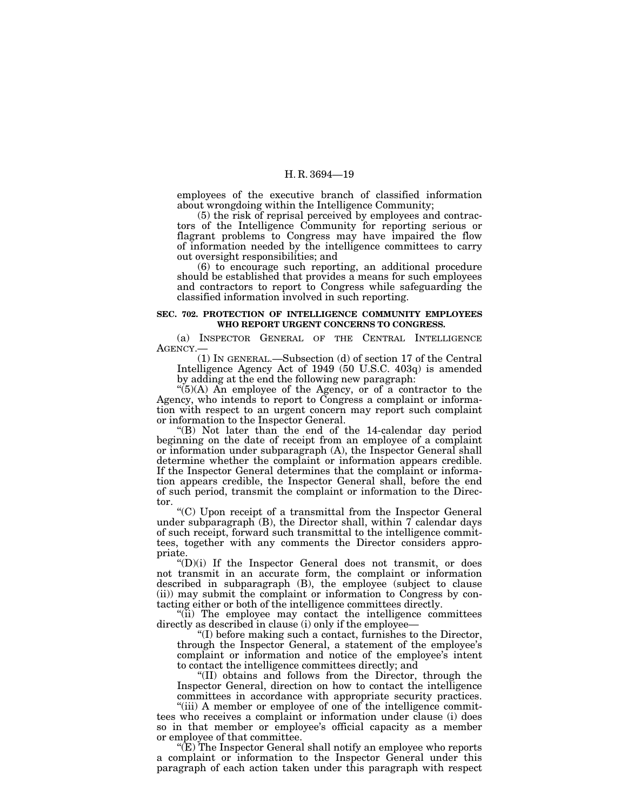employees of the executive branch of classified information about wrongdoing within the Intelligence Community;

(5) the risk of reprisal perceived by employees and contractors of the Intelligence Community for reporting serious or flagrant problems to Congress may have impaired the flow of information needed by the intelligence committees to carry out oversight responsibilities; and

(6) to encourage such reporting, an additional procedure should be established that provides a means for such employees and contractors to report to Congress while safeguarding the classified information involved in such reporting.

### **SEC. 702. PROTECTION OF INTELLIGENCE COMMUNITY EMPLOYEES WHO REPORT URGENT CONCERNS TO CONGRESS.**

(a) INSPECTOR GENERAL OF THE CENTRAL INTELLIGENCE AGENCY.—

(1) IN GENERAL.—Subsection (d) of section 17 of the Central Intelligence Agency Act of 1949 (50 U.S.C. 403q) is amended by adding at the end the following new paragraph:

 $\mathcal{L}(5)(A)$  An employee of the Agency, or of a contractor to the Agency, who intends to report to Congress a complaint or information with respect to an urgent concern may report such complaint or information to the Inspector General.

''(B) Not later than the end of the 14-calendar day period beginning on the date of receipt from an employee of a complaint or information under subparagraph (A), the Inspector General shall determine whether the complaint or information appears credible. If the Inspector General determines that the complaint or information appears credible, the Inspector General shall, before the end of such period, transmit the complaint or information to the Director.

''(C) Upon receipt of a transmittal from the Inspector General under subparagraph  $(B)$ , the Director shall, within 7 calendar days of such receipt, forward such transmittal to the intelligence committees, together with any comments the Director considers appropriate.

 $f(D)(i)$  If the Inspector General does not transmit, or does not transmit in an accurate form, the complaint or information described in subparagraph (B), the employee (subject to clause (ii)) may submit the complaint or information to Congress by contacting either or both of the intelligence committees directly.

"(ii) The employee may contact the intelligence committees directly as described in clause (i) only if the employee—

''(I) before making such a contact, furnishes to the Director, through the Inspector General, a statement of the employee's complaint or information and notice of the employee's intent to contact the intelligence committees directly; and

''(II) obtains and follows from the Director, through the Inspector General, direction on how to contact the intelligence committees in accordance with appropriate security practices.

"(iii) A member or employee of one of the intelligence committees who receives a complaint or information under clause (i) does so in that member or employee's official capacity as a member or employee of that committee.

" $(E)$  The Inspector General shall notify an employee who reports a complaint or information to the Inspector General under this paragraph of each action taken under this paragraph with respect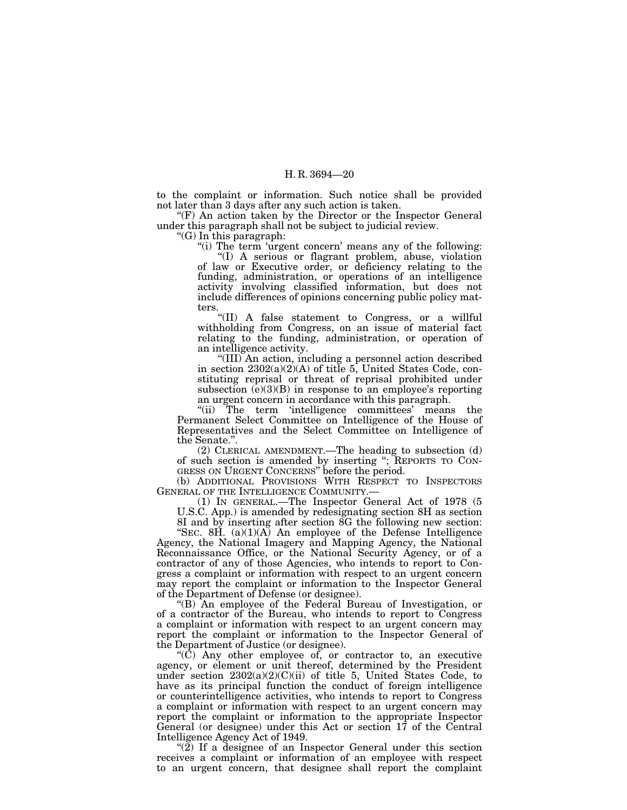to the complaint or information. Such notice shall be provided not later than 3 days after any such action is taken.

''(F) An action taken by the Director or the Inspector General under this paragraph shall not be subject to judicial review.

''(G) In this paragraph:

''(i) The term 'urgent concern' means any of the following:

''(I) A serious or flagrant problem, abuse, violation of law or Executive order, or deficiency relating to the funding, administration, or operations of an intelligence activity involving classified information, but does not include differences of opinions concerning public policy matters.

''(II) A false statement to Congress, or a willful withholding from Congress, on an issue of material fact relating to the funding, administration, or operation of an intelligence activity.

''(III) An action, including a personnel action described in section 2302(a)(2)(A) of title 5, United States Code, constituting reprisal or threat of reprisal prohibited under subsection  $(e)(3)(B)$  in response to an employee's reporting an urgent concern in accordance with this paragraph.

"(ii) The term 'intelligence committees' means the Permanent Select Committee on Intelligence of the House of Representatives and the Select Committee on Intelligence of the Senate.''.

(2) CLERICAL AMENDMENT.—The heading to subsection (d) of such section is amended by inserting ''; REPORTS TO CON-GRESS ON URGENT CONCERNS'' before the period.

(b) ADDITIONAL PROVISIONS WITH RESPECT TO INSPECTORS GENERAL OF THE INTELLIGENCE COMMUNITY.—

 $(1)$  In GENERAL.—The Inspector General Act of 1978 (5) U.S.C. App.) is amended by redesignating section 8H as section

8I and by inserting after section 8G the following new section: "SEC. 8H.  $(a)(1)(A)$  An employee of the Defense Intelligence Agency, the National Imagery and Mapping Agency, the National Reconnaissance Office, or the National Security Agency, or of a contractor of any of those Agencies, who intends to report to Congress a complaint or information with respect to an urgent concern may report the complaint or information to the Inspector General of the Department of Defense (or designee).

''(B) An employee of the Federal Bureau of Investigation, or of a contractor of the Bureau, who intends to report to Congress a complaint or information with respect to an urgent concern may report the complaint or information to the Inspector General of the Department of Justice (or designee).

''(C) Any other employee of, or contractor to, an executive agency, or element or unit thereof, determined by the President under section 2302(a)(2)(C)(ii) of title 5, United States Code, to have as its principal function the conduct of foreign intelligence or counterintelligence activities, who intends to report to Congress a complaint or information with respect to an urgent concern may report the complaint or information to the appropriate Inspector General (or designee) under this Act or section 17 of the Central Intelligence Agency Act of 1949.

" $(2)$  If a designee of an Inspector General under this section receives a complaint or information of an employee with respect to an urgent concern, that designee shall report the complaint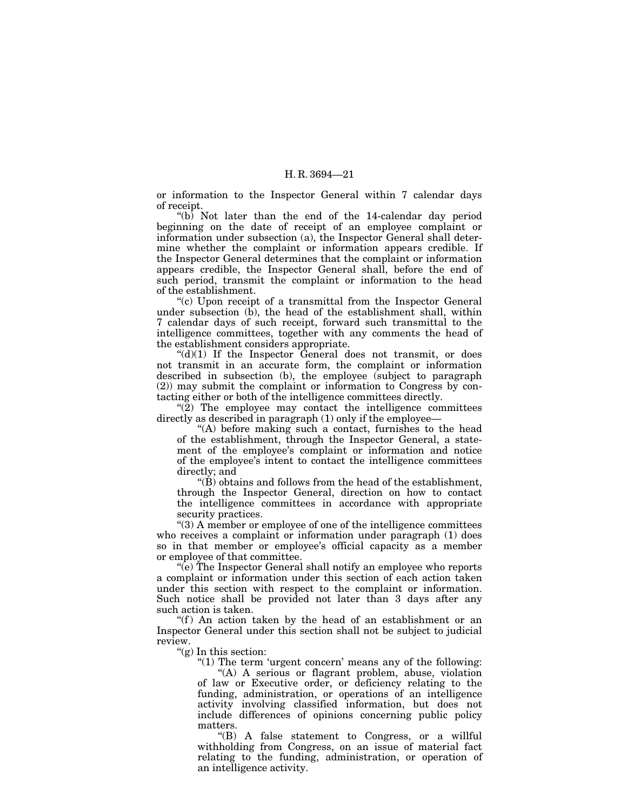or information to the Inspector General within 7 calendar days of receipt.

" $(b)$  Not later than the end of the 14-calendar day period beginning on the date of receipt of an employee complaint or information under subsection (a), the Inspector General shall determine whether the complaint or information appears credible. If the Inspector General determines that the complaint or information appears credible, the Inspector General shall, before the end of such period, transmit the complaint or information to the head of the establishment.

''(c) Upon receipt of a transmittal from the Inspector General under subsection  $(b)$ , the head of the establishment shall, within 7 calendar days of such receipt, forward such transmittal to the intelligence committees, together with any comments the head of the establishment considers appropriate.

" $(d)(1)$  If the Inspector General does not transmit, or does not transmit in an accurate form, the complaint or information described in subsection (b), the employee (subject to paragraph (2)) may submit the complaint or information to Congress by contacting either or both of the intelligence committees directly.

 $(2)$  The employee may contact the intelligence committees directly as described in paragraph (1) only if the employee—

''(A) before making such a contact, furnishes to the head of the establishment, through the Inspector General, a statement of the employee's complaint or information and notice of the employee's intent to contact the intelligence committees directly; and

''(B) obtains and follows from the head of the establishment, through the Inspector General, direction on how to contact the intelligence committees in accordance with appropriate security practices.

''(3) A member or employee of one of the intelligence committees who receives a complaint or information under paragraph (1) does so in that member or employee's official capacity as a member or employee of that committee.

 $\mathcal{F}(e)$  The Inspector General shall notify an employee who reports a complaint or information under this section of each action taken under this section with respect to the complaint or information. Such notice shall be provided not later than 3 days after any such action is taken.

"(f) An action taken by the head of an establishment or an Inspector General under this section shall not be subject to judicial review.

"(g) In this section:

" $(1)$  The term 'urgent concern' means any of the following:

''(A) A serious or flagrant problem, abuse, violation of law or Executive order, or deficiency relating to the funding, administration, or operations of an intelligence activity involving classified information, but does not include differences of opinions concerning public policy matters.

''(B) A false statement to Congress, or a willful withholding from Congress, on an issue of material fact relating to the funding, administration, or operation of an intelligence activity.